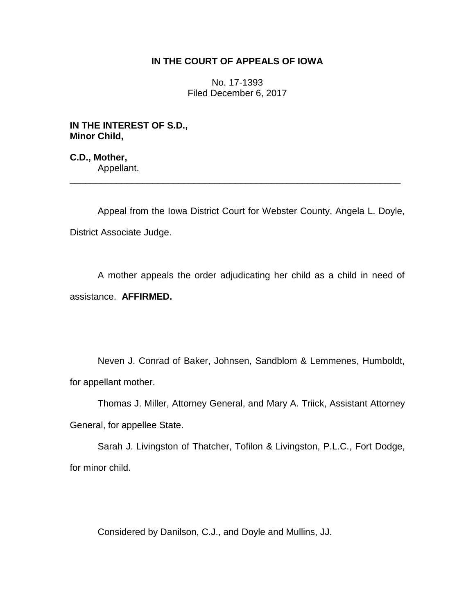## **IN THE COURT OF APPEALS OF IOWA**

No. 17-1393 Filed December 6, 2017

**IN THE INTEREST OF S.D., Minor Child,**

**C.D., Mother,** Appellant.

Appeal from the Iowa District Court for Webster County, Angela L. Doyle, District Associate Judge.

\_\_\_\_\_\_\_\_\_\_\_\_\_\_\_\_\_\_\_\_\_\_\_\_\_\_\_\_\_\_\_\_\_\_\_\_\_\_\_\_\_\_\_\_\_\_\_\_\_\_\_\_\_\_\_\_\_\_\_\_\_\_\_\_

A mother appeals the order adjudicating her child as a child in need of assistance. **AFFIRMED.** 

Neven J. Conrad of Baker, Johnsen, Sandblom & Lemmenes, Humboldt, for appellant mother.

Thomas J. Miller, Attorney General, and Mary A. Triick, Assistant Attorney General, for appellee State.

Sarah J. Livingston of Thatcher, Tofilon & Livingston, P.L.C., Fort Dodge, for minor child.

Considered by Danilson, C.J., and Doyle and Mullins, JJ.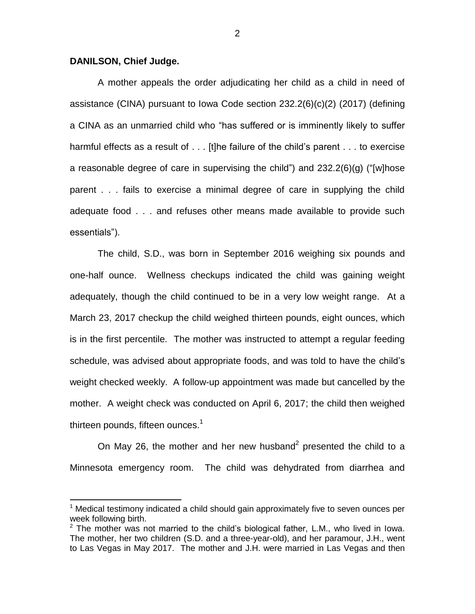## **DANILSON, Chief Judge.**

 $\overline{a}$ 

A mother appeals the order adjudicating her child as a child in need of assistance (CINA) pursuant to Iowa Code section 232.2(6)(c)(2) (2017) (defining a CINA as an unmarried child who "has suffered or is imminently likely to suffer harmful effects as a result of . . . [t]he failure of the child's parent . . . to exercise a reasonable degree of care in supervising the child") and 232.2(6)(g) ("[w]hose parent . . . fails to exercise a minimal degree of care in supplying the child adequate food . . . and refuses other means made available to provide such essentials").

The child, S.D., was born in September 2016 weighing six pounds and one-half ounce. Wellness checkups indicated the child was gaining weight adequately, though the child continued to be in a very low weight range. At a March 23, 2017 checkup the child weighed thirteen pounds, eight ounces, which is in the first percentile. The mother was instructed to attempt a regular feeding schedule, was advised about appropriate foods, and was told to have the child's weight checked weekly. A follow-up appointment was made but cancelled by the mother. A weight check was conducted on April 6, 2017; the child then weighed thirteen pounds, fifteen ounces. $^{\text{1}}$ 

On May 26, the mother and her new husband<sup>2</sup> presented the child to a Minnesota emergency room. The child was dehydrated from diarrhea and

 $1$  Medical testimony indicated a child should gain approximately five to seven ounces per week following birth.

 $2$  The mother was not married to the child's biological father, L.M., who lived in lowa. The mother, her two children (S.D. and a three-year-old), and her paramour, J.H., went to Las Vegas in May 2017. The mother and J.H. were married in Las Vegas and then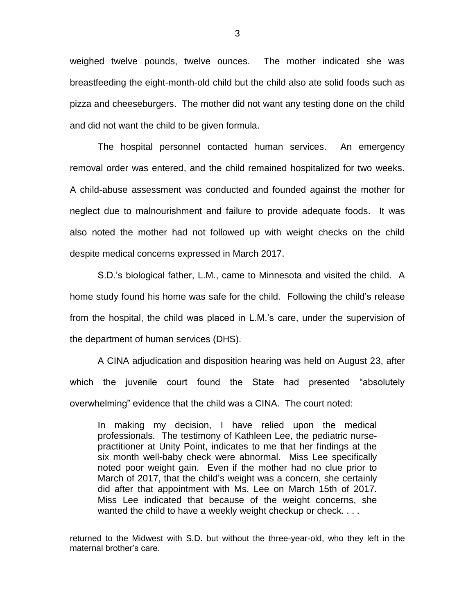weighed twelve pounds, twelve ounces. The mother indicated she was breastfeeding the eight-month-old child but the child also ate solid foods such as pizza and cheeseburgers. The mother did not want any testing done on the child and did not want the child to be given formula.

The hospital personnel contacted human services. An emergency removal order was entered, and the child remained hospitalized for two weeks. A child-abuse assessment was conducted and founded against the mother for neglect due to malnourishment and failure to provide adequate foods. It was also noted the mother had not followed up with weight checks on the child despite medical concerns expressed in March 2017.

S.D.'s biological father, L.M., came to Minnesota and visited the child. A home study found his home was safe for the child. Following the child's release from the hospital, the child was placed in L.M.'s care, under the supervision of the department of human services (DHS).

A CINA adjudication and disposition hearing was held on August 23, after which the juvenile court found the State had presented "absolutely overwhelming" evidence that the child was a CINA. The court noted:

In making my decision, I have relied upon the medical professionals.The testimony of Kathleen Lee, the pediatric nursepractitioner at Unity Point, indicates to me that her findings at the six month well-baby check were abnormal. Miss Lee specifically noted poor weight gain. Even if the mother had no clue prior to March of 2017, that the child's weight was a concern, she certainly did after that appointment with Ms. Lee on March 15th of 2017. Miss Lee indicated that because of the weight concerns, she wanted the child to have a weekly weight checkup or check....

 $\overline{a}$ 

returned to the Midwest with S.D. but without the three-year-old, who they left in the maternal brother's care.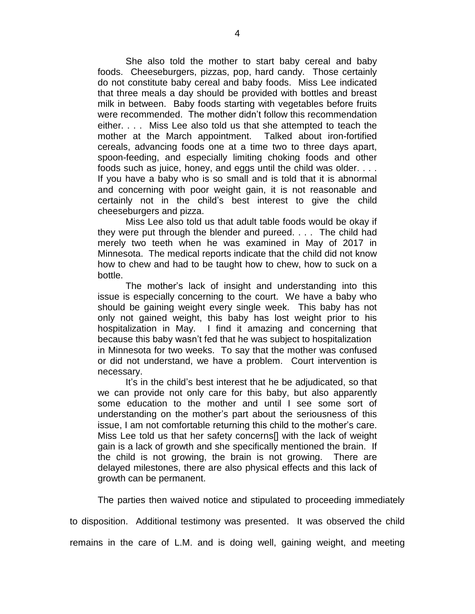She also told the mother to start baby cereal and baby foods. Cheeseburgers, pizzas, pop, hard candy. Those certainly do not constitute baby cereal and baby foods. Miss Lee indicated that three meals a day should be provided with bottles and breast milk in between. Baby foods starting with vegetables before fruits were recommended. The mother didn't follow this recommendation either. . . . Miss Lee also told us that she attempted to teach the mother at the March appointment. Talked about iron-fortified cereals, advancing foods one at a time two to three days apart, spoon-feeding, and especially limiting choking foods and other foods such as juice, honey, and eggs until the child was older. . . . If you have a baby who is so small and is told that it is abnormal and concerning with poor weight gain, it is not reasonable and certainly not in the child's best interest to give the child cheeseburgers and pizza.

Miss Lee also told us that adult table foods would be okay if they were put through the blender and pureed. . . . The child had merely two teeth when he was examined in May of 2017 in Minnesota. The medical reports indicate that the child did not know how to chew and had to be taught how to chew, how to suck on a bottle.

The mother's lack of insight and understanding into this issue is especially concerning to the court. We have a baby who should be gaining weight every single week. This baby has not only not gained weight, this baby has lost weight prior to his hospitalization in May. I find it amazing and concerning that because this baby wasn't fed that he was subject to hospitalization in Minnesota for two weeks. To say that the mother was confused or did not understand, we have a problem. Court intervention is necessary.

It's in the child's best interest that he be adjudicated, so that we can provide not only care for this baby, but also apparently some education to the mother and until I see some sort of understanding on the mother's part about the seriousness of this issue, I am not comfortable returning this child to the mother's care. Miss Lee told us that her safety concerns[] with the lack of weight gain is a lack of growth and she specifically mentioned the brain. If the child is not growing, the brain is not growing. There are delayed milestones, there are also physical effects and this lack of growth can be permanent.

The parties then waived notice and stipulated to proceeding immediately

to disposition. Additional testimony was presented. It was observed the child

remains in the care of L.M. and is doing well, gaining weight, and meeting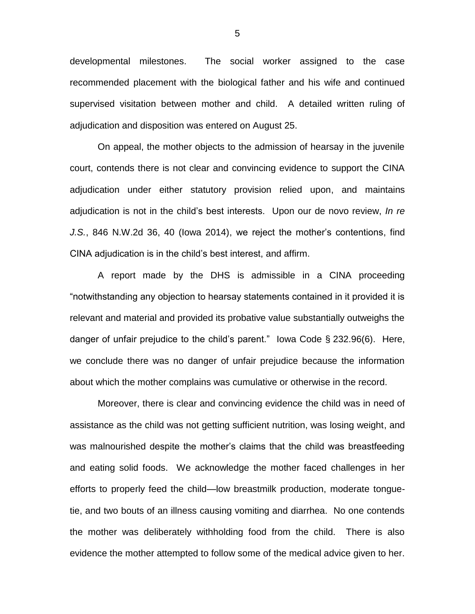developmental milestones. The social worker assigned to the case recommended placement with the biological father and his wife and continued supervised visitation between mother and child. A detailed written ruling of adjudication and disposition was entered on August 25.

On appeal, the mother objects to the admission of hearsay in the juvenile court, contends there is not clear and convincing evidence to support the CINA adjudication under either statutory provision relied upon, and maintains adjudication is not in the child's best interests. Upon our de novo review, *In re J.S.*, 846 N.W.2d 36, 40 (Iowa 2014), we reject the mother's contentions, find CINA adjudication is in the child's best interest, and affirm.

A report made by the DHS is admissible in a CINA proceeding "notwithstanding any objection to hearsay statements contained in it provided it is relevant and material and provided its probative value substantially outweighs the danger of unfair prejudice to the child's parent." Iowa Code § 232.96(6). Here, we conclude there was no danger of unfair prejudice because the information about which the mother complains was cumulative or otherwise in the record.

Moreover, there is clear and convincing evidence the child was in need of assistance as the child was not getting sufficient nutrition, was losing weight, and was malnourished despite the mother's claims that the child was breastfeeding and eating solid foods. We acknowledge the mother faced challenges in her efforts to properly feed the child—low breastmilk production, moderate tonguetie, and two bouts of an illness causing vomiting and diarrhea. No one contends the mother was deliberately withholding food from the child. There is also evidence the mother attempted to follow some of the medical advice given to her.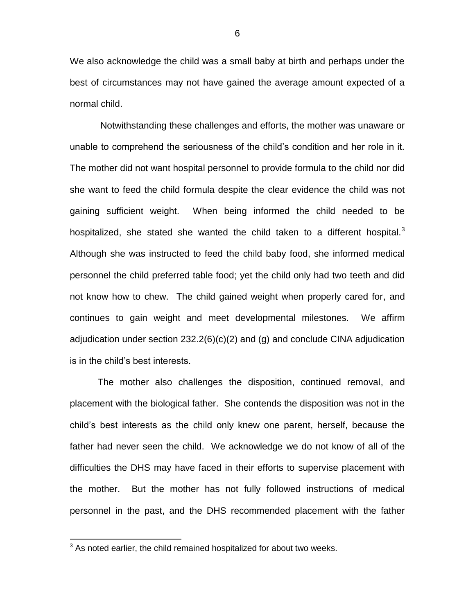We also acknowledge the child was a small baby at birth and perhaps under the best of circumstances may not have gained the average amount expected of a normal child.

Notwithstanding these challenges and efforts, the mother was unaware or unable to comprehend the seriousness of the child's condition and her role in it. The mother did not want hospital personnel to provide formula to the child nor did she want to feed the child formula despite the clear evidence the child was not gaining sufficient weight. When being informed the child needed to be hospitalized, she stated she wanted the child taken to a different hospital. $3$ Although she was instructed to feed the child baby food, she informed medical personnel the child preferred table food; yet the child only had two teeth and did not know how to chew. The child gained weight when properly cared for, and continues to gain weight and meet developmental milestones. We affirm adjudication under section 232.2(6)(c)(2) and (g) and conclude CINA adjudication is in the child's best interests.

The mother also challenges the disposition, continued removal, and placement with the biological father. She contends the disposition was not in the child's best interests as the child only knew one parent, herself, because the father had never seen the child. We acknowledge we do not know of all of the difficulties the DHS may have faced in their efforts to supervise placement with the mother. But the mother has not fully followed instructions of medical personnel in the past, and the DHS recommended placement with the father

 $\overline{a}$ 

 $3$  As noted earlier, the child remained hospitalized for about two weeks.